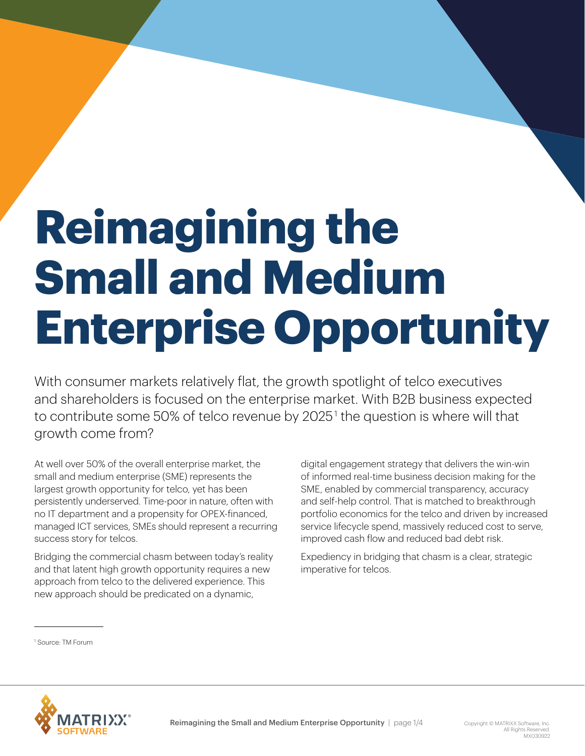# **Reimagining the Small and Medium Enterprise Opportunity**

With consumer markets relatively flat, the growth spotlight of telco executives and shareholders is focused on the enterprise market. With B2B business expected to contribute some 50% of telco revenue by 2025 $^{\circ}$  the question is where will that growth come from?

At well over 50% of the overall enterprise market, the small and medium enterprise (SME) represents the largest growth opportunity for telco, yet has been persistently underserved. Time-poor in nature, often with no IT department and a propensity for OPEX-financed, managed ICT services, SMEs should represent a recurring success story for telcos.

Bridging the commercial chasm between today's reality and that latent high growth opportunity requires a new approach from telco to the delivered experience. This new approach should be predicated on a dynamic,

digital engagement strategy that delivers the win-win of informed real-time business decision making for the SME, enabled by commercial transparency, accuracy and self-help control. That is matched to breakthrough portfolio economics for the telco and driven by increased service lifecycle spend, massively reduced cost to serve, improved cash flow and reduced bad debt risk.

Expediency in bridging that chasm is a clear, strategic imperative for telcos.

1 Source: TM Forum

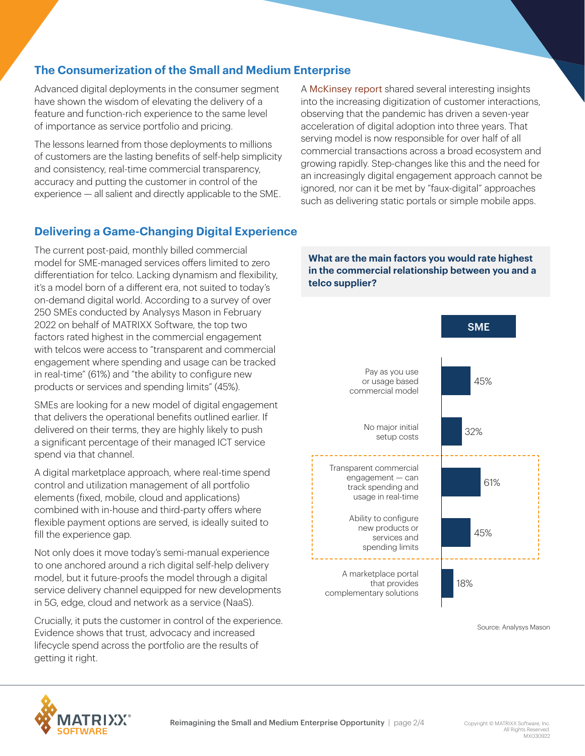## **The Consumerization of the Small and Medium Enterprise**

Advanced digital deployments in the consumer segment have shown the wisdom of elevating the delivery of a feature and function-rich experience to the same level of importance as service portfolio and pricing.

The lessons learned from those deployments to millions of customers are the lasting benefits of self-help simplicity and consistency, real-time commercial transparency, accuracy and putting the customer in control of the experience — all salient and directly applicable to the SME.

A [McKinsey report](https://www.mckinsey.com/business-functions/strategy-and-corporate-finance/our-insights/how-covid-19-has-pushed-companies-over-the-technology-tipping-point-and-transformed-business-forever) shared several interesting insights into the increasing digitization of customer interactions, observing that the pandemic has driven a seven-year acceleration of digital adoption into three years. That serving model is now responsible for over half of all commercial transactions across a broad ecosystem and growing rapidly. Step-changes like this and the need for an increasingly digital engagement approach cannot be ignored, nor can it be met by "faux-digital" approaches such as delivering static portals or simple mobile apps.

### **Delivering a Game-Changing Digital Experience**

The current post-paid, monthly billed commercial model for SME-managed services offers limited to zero differentiation for telco. Lacking dynamism and flexibility, it's a model born of a different era, not suited to today's on-demand digital world. According to a survey of over 250 SMEs conducted by Analysys Mason in February 2022 on behalf of MATRIXX Software, the top two factors rated highest in the commercial engagement with telcos were access to "transparent and commercial engagement where spending and usage can be tracked in real-time" (61%) and "the ability to configure new products or services and spending limits" (45%).

SMEs are looking for a new model of digital engagement that delivers the operational benefits outlined earlier. If delivered on their terms, they are highly likely to push a significant percentage of their managed ICT service spend via that channel.

A digital marketplace approach, where real-time spend control and utilization management of all portfolio elements (fixed, mobile, cloud and applications) combined with in-house and third-party offers where flexible payment options are served, is ideally suited to fill the experience gap.

Not only does it move today's semi-manual experience to one anchored around a rich digital self-help delivery model, but it future-proofs the model through a digital service delivery channel equipped for new developments in 5G, edge, cloud and network as a service (NaaS).

Crucially, it puts the customer in control of the experience. Evidence shows that trust, advocacy and increased lifecycle spend across the portfolio are the results of getting it right.

#### **What are the main factors you would rate highest in the commercial relationship between you and a telco supplier?**



Source: Analysys Mason

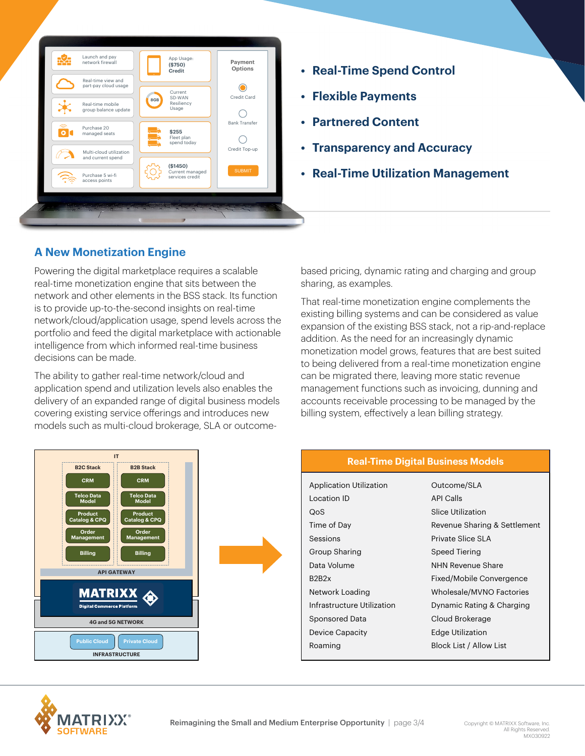

- **• Real-Time Spend Control**
- **• Flexible Payments**
- **• Partnered Content**
- **• Transparency and Accuracy**
- **• Real-Time Utilization Management**

## **A New Monetization Engine**

Powering the digital marketplace requires a scalable real-time monetization engine that sits between the network and other elements in the BSS stack. Its function is to provide up-to-the-second insights on real-time network/cloud/application usage, spend levels across the portfolio and feed the digital marketplace with actionable intelligence from which informed real-time business decisions can be made.

The ability to gather real-time network/cloud and application spend and utilization levels also enables the delivery of an expanded range of digital business models covering existing service offerings and introduces new models such as multi-cloud brokerage, SLA or outcomebased pricing, dynamic rating and charging and group sharing, as examples.

That real-time monetization engine complements the existing billing systems and can be considered as value expansion of the existing BSS stack, not a rip-and-replace addition. As the need for an increasingly dynamic monetization model grows, features that are best suited to being delivered from a real-time monetization engine can be migrated there, leaving more static revenue management functions such as invoicing, dunning and accounts receivable processing to be managed by the billing system, effectively a lean billing strategy.





| <b>Application Utilization</b>  | Outcome/SLA                  |
|---------------------------------|------------------------------|
| Location ID                     | <b>API Calls</b>             |
| QoS                             | Slice Utilization            |
| Time of Day                     | Revenue Sharing & Settlement |
| Sessions                        | Private Slice SLA            |
| Group Sharing                   | Speed Tiering                |
| Data Volume                     | NHN Revenue Share            |
| B <sub>2</sub> B <sub>2</sub> x | Fixed/Mobile Convergence     |
| Network Loading                 | Wholesale/MVNO Factories     |
| Infrastructure Utilization      | Dynamic Rating & Charging    |
| Sponsored Data                  | Cloud Brokerage              |
| <b>Device Capacity</b>          | <b>Edge Utilization</b>      |
| Roaming                         | Block List / Allow List      |